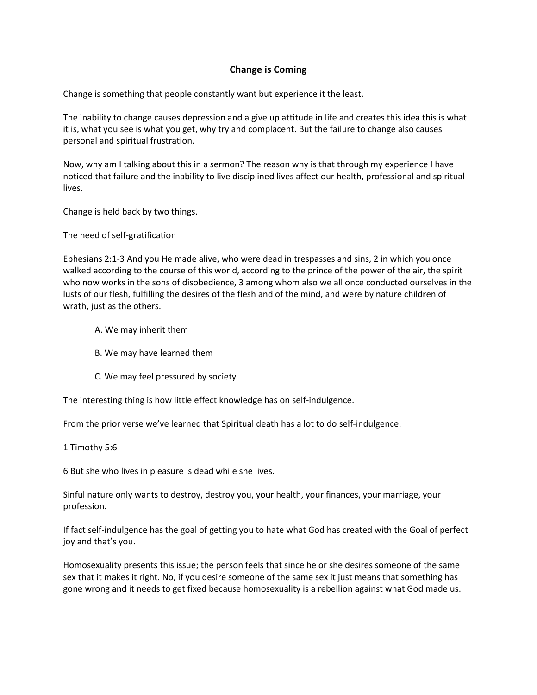## **Change is Coming**

Change is something that people constantly want but experience it the least.

The inability to change causes depression and a give up attitude in life and creates this idea this is what it is, what you see is what you get, why try and complacent. But the failure to change also causes personal and spiritual frustration.

Now, why am I talking about this in a sermon? The reason why is that through my experience I have noticed that failure and the inability to live disciplined lives affect our health, professional and spiritual lives.

Change is held back by two things.

The need of self-gratification

Ephesians 2:1-3 And you He made alive, who were dead in trespasses and sins, 2 in which you once walked according to the course of this world, according to the prince of the power of the air, the spirit who now works in the sons of disobedience, 3 among whom also we all once conducted ourselves in the lusts of our flesh, fulfilling the desires of the flesh and of the mind, and were by nature children of wrath, just as the others.

- A. We may inherit them
- B. We may have learned them
- C. We may feel pressured by society

The interesting thing is how little effect knowledge has on self-indulgence.

From the prior verse we've learned that Spiritual death has a lot to do self-indulgence.

1 Timothy 5:6

6 But she who lives in pleasure is dead while she lives.

Sinful nature only wants to destroy, destroy you, your health, your finances, your marriage, your profession.

If fact self-indulgence has the goal of getting you to hate what God has created with the Goal of perfect joy and that's you.

Homosexuality presents this issue; the person feels that since he or she desires someone of the same sex that it makes it right. No, if you desire someone of the same sex it just means that something has gone wrong and it needs to get fixed because homosexuality is a rebellion against what God made us.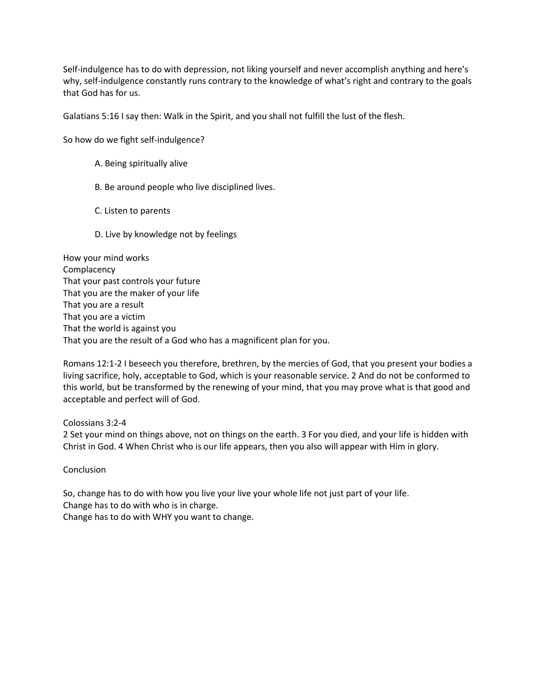Self-indulgence has to do with depression, not liking yourself and never accomplish anything and here's why, self-indulgence constantly runs contrary to the knowledge of what's right and contrary to the goals that God has for us.

Galatians 5:16 I say then: Walk in the Spirit, and you shall not fulfill the lust of the flesh.

So how do we fight self-indulgence?

- A. Being spiritually alive
- B. Be around people who live disciplined lives.
- C. Listen to parents
- D. Live by knowledge not by feelings

How your mind works **Complacency** That your past controls your future That you are the maker of your life That you are a result That you are a victim That the world is against you That you are the result of a God who has a magnificent plan for you.

Romans 12:1-2 I beseech you therefore, brethren, by the mercies of God, that you present your bodies a living sacrifice, holy, acceptable to God, which is your reasonable service. 2 And do not be conformed to this world, but be transformed by the renewing of your mind, that you may prove what is that good and acceptable and perfect will of God.

Colossians 3:2-4 2 Set your mind on things above, not on things on the earth. 3 For you died, and your life is hidden with Christ in God. 4 When Christ who is our life appears, then you also will appear with Him in glory.

**Conclusion** 

So, change has to do with how you live your live your whole life not just part of your life. Change has to do with who is in charge. Change has to do with WHY you want to change.